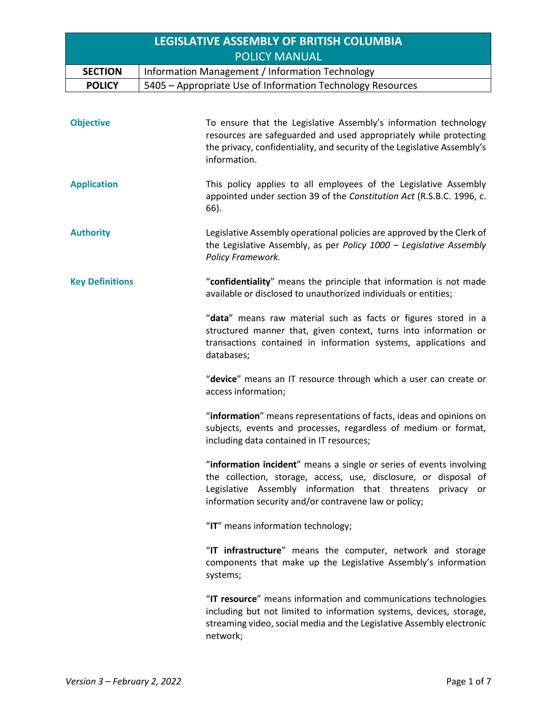|                        | <b>LEGISLATIVE ASSEMBLY OF BRITISH COLUMBIA</b>                                                                                                                                                                                                                   |  |  |
|------------------------|-------------------------------------------------------------------------------------------------------------------------------------------------------------------------------------------------------------------------------------------------------------------|--|--|
|                        | <b>POLICY MANUAL</b>                                                                                                                                                                                                                                              |  |  |
| <b>SECTION</b>         | Information Management / Information Technology                                                                                                                                                                                                                   |  |  |
| <b>POLICY</b>          | 5405 - Appropriate Use of Information Technology Resources                                                                                                                                                                                                        |  |  |
| <b>Objective</b>       | To ensure that the Legislative Assembly's information technology<br>resources are safeguarded and used appropriately while protecting<br>the privacy, confidentiality, and security of the Legislative Assembly's<br>information.                                 |  |  |
| <b>Application</b>     | This policy applies to all employees of the Legislative Assembly<br>appointed under section 39 of the Constitution Act (R.S.B.C. 1996, c.<br>66).                                                                                                                 |  |  |
| <b>Authority</b>       | Legislative Assembly operational policies are approved by the Clerk of<br>the Legislative Assembly, as per Policy 1000 - Legislative Assembly<br>Policy Framework.                                                                                                |  |  |
| <b>Key Definitions</b> | "confidentiality" means the principle that information is not made<br>available or disclosed to unauthorized individuals or entities;                                                                                                                             |  |  |
|                        | "data" means raw material such as facts or figures stored in a<br>structured manner that, given context, turns into information or<br>transactions contained in information systems, applications and<br>databases;                                               |  |  |
|                        | "device" means an IT resource through which a user can create or<br>access information;                                                                                                                                                                           |  |  |
|                        | "information" means representations of facts, ideas and opinions on<br>subjects, events and processes, regardless of medium or format,<br>including data contained in IT resources;                                                                               |  |  |
|                        | "information incident" means a single or series of events involving<br>the collection, storage, access, use, disclosure, or disposal of<br>Legislative Assembly information that threatens<br>privacy or<br>information security and/or contravene law or policy; |  |  |
|                        | "IT" means information technology;                                                                                                                                                                                                                                |  |  |
|                        | "IT infrastructure" means the computer, network and storage<br>components that make up the Legislative Assembly's information<br>systems;                                                                                                                         |  |  |
|                        | "IT resource" means information and communications technologies<br>including but not limited to information systems, devices, storage,<br>streaming video, social media and the Legislative Assembly electronic<br>network;                                       |  |  |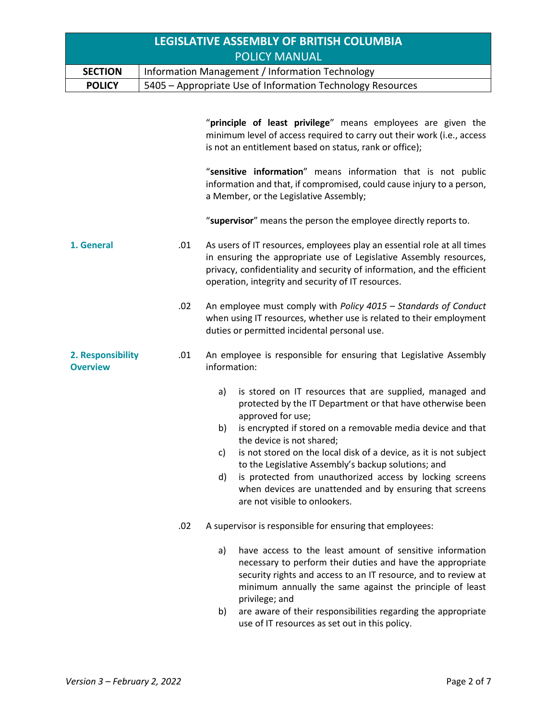| <b>LEGISLATIVE ASSEMBLY OF BRITISH COLUMBIA</b> |                                                            |  |  |
|-------------------------------------------------|------------------------------------------------------------|--|--|
| <b>POLICY MANUAL</b>                            |                                                            |  |  |
| <b>SECTION</b>                                  | Information Management / Information Technology            |  |  |
| <b>POLICY</b>                                   | 5405 – Appropriate Use of Information Technology Resources |  |  |

|                                      |     | "principle of least privilege" means employees are given the<br>minimum level of access required to carry out their work (i.e., access<br>is not an entitlement based on status, rank or office);                                                                                                                                                                                                                                                                                                                                                    |  |
|--------------------------------------|-----|------------------------------------------------------------------------------------------------------------------------------------------------------------------------------------------------------------------------------------------------------------------------------------------------------------------------------------------------------------------------------------------------------------------------------------------------------------------------------------------------------------------------------------------------------|--|
|                                      |     | "sensitive information" means information that is not public<br>information and that, if compromised, could cause injury to a person,<br>a Member, or the Legislative Assembly;                                                                                                                                                                                                                                                                                                                                                                      |  |
|                                      |     | "supervisor" means the person the employee directly reports to.                                                                                                                                                                                                                                                                                                                                                                                                                                                                                      |  |
| 1. General                           | .01 | As users of IT resources, employees play an essential role at all times<br>in ensuring the appropriate use of Legislative Assembly resources,<br>privacy, confidentiality and security of information, and the efficient<br>operation, integrity and security of IT resources.                                                                                                                                                                                                                                                                       |  |
|                                      | .02 | An employee must comply with Policy 4015 - Standards of Conduct<br>when using IT resources, whether use is related to their employment<br>duties or permitted incidental personal use.                                                                                                                                                                                                                                                                                                                                                               |  |
| 2. Responsibility<br><b>Overview</b> | .01 | An employee is responsible for ensuring that Legislative Assembly<br>information:                                                                                                                                                                                                                                                                                                                                                                                                                                                                    |  |
|                                      |     | is stored on IT resources that are supplied, managed and<br>a)<br>protected by the IT Department or that have otherwise been<br>approved for use;<br>is encrypted if stored on a removable media device and that<br>b)<br>the device is not shared;<br>is not stored on the local disk of a device, as it is not subject<br>c)<br>to the Legislative Assembly's backup solutions; and<br>is protected from unauthorized access by locking screens<br>d)<br>when devices are unattended and by ensuring that screens<br>are not visible to onlookers. |  |
|                                      | .02 | A supervisor is responsible for ensuring that employees:                                                                                                                                                                                                                                                                                                                                                                                                                                                                                             |  |
|                                      |     | have access to the least amount of sensitive information<br>a)<br>necessary to perform their duties and have the appropriate<br>security rights and access to an IT resource, and to review at<br>minimum annually the same against the principle of least<br>privilege; and                                                                                                                                                                                                                                                                         |  |
|                                      |     | are aware of their responsibilities regarding the appropriate<br>b)<br>use of IT resources as set out in this policy.                                                                                                                                                                                                                                                                                                                                                                                                                                |  |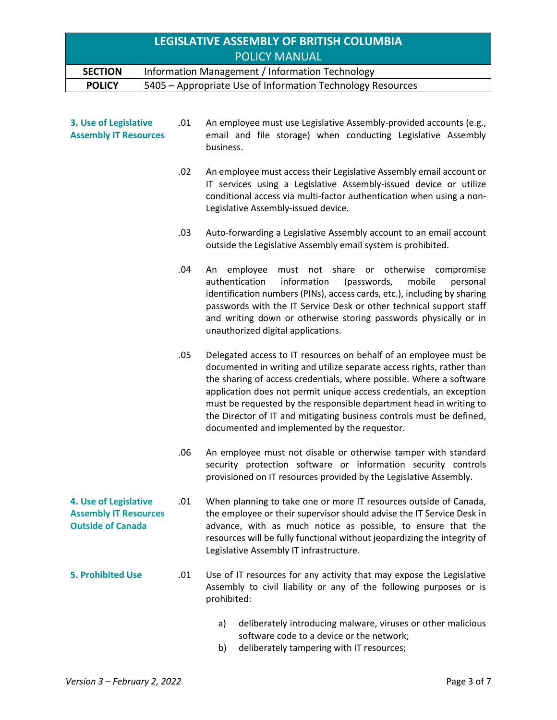| LEGISLATIVE ASSEMBLY OF BRITISH COLUMBIA |                                                            |  |  |
|------------------------------------------|------------------------------------------------------------|--|--|
| <b>POLICY MANUAL</b>                     |                                                            |  |  |
| <b>SECTION</b>                           | Information Management / Information Technology            |  |  |
| <b>POLICY</b>                            | 5405 - Appropriate Use of Information Technology Resources |  |  |

| 3. Use of Legislative<br><b>Assembly IT Resources</b>                             | .01 | An employee must use Legislative Assembly-provided accounts (e.g.,<br>email and file storage) when conducting Legislative Assembly<br>business.                                                                                                                                                                                                                                                                                                                                        |
|-----------------------------------------------------------------------------------|-----|----------------------------------------------------------------------------------------------------------------------------------------------------------------------------------------------------------------------------------------------------------------------------------------------------------------------------------------------------------------------------------------------------------------------------------------------------------------------------------------|
|                                                                                   | .02 | An employee must access their Legislative Assembly email account or<br>IT services using a Legislative Assembly-issued device or utilize<br>conditional access via multi-factor authentication when using a non-<br>Legislative Assembly-issued device.                                                                                                                                                                                                                                |
|                                                                                   | .03 | Auto-forwarding a Legislative Assembly account to an email account<br>outside the Legislative Assembly email system is prohibited.                                                                                                                                                                                                                                                                                                                                                     |
|                                                                                   | .04 | share or otherwise<br>employee<br>must<br>not<br>compromise<br>An<br>authentication<br>information<br>(passwords,<br>mobile<br>personal<br>identification numbers (PINs), access cards, etc.), including by sharing<br>passwords with the IT Service Desk or other technical support staff<br>and writing down or otherwise storing passwords physically or in<br>unauthorized digital applications.                                                                                   |
|                                                                                   | .05 | Delegated access to IT resources on behalf of an employee must be<br>documented in writing and utilize separate access rights, rather than<br>the sharing of access credentials, where possible. Where a software<br>application does not permit unique access credentials, an exception<br>must be requested by the responsible department head in writing to<br>the Director of IT and mitigating business controls must be defined,<br>documented and implemented by the requestor. |
|                                                                                   | .06 | An employee must not disable or otherwise tamper with standard<br>security protection software or information security controls<br>provisioned on IT resources provided by the Legislative Assembly.                                                                                                                                                                                                                                                                                   |
| 4. Use of Legislative<br><b>Assembly IT Resources</b><br><b>Outside of Canada</b> | .01 | When planning to take one or more IT resources outside of Canada,<br>the employee or their supervisor should advise the IT Service Desk in<br>advance, with as much notice as possible, to ensure that the<br>resources will be fully functional without jeopardizing the integrity of<br>Legislative Assembly IT infrastructure.                                                                                                                                                      |
| <b>5. Prohibited Use</b>                                                          | .01 | Use of IT resources for any activity that may expose the Legislative<br>Assembly to civil liability or any of the following purposes or is<br>prohibited:                                                                                                                                                                                                                                                                                                                              |
|                                                                                   |     | deliberately introducing malware, viruses or other malicious<br>a)<br>software code to a device or the network;                                                                                                                                                                                                                                                                                                                                                                        |

b) deliberately tampering with IT resources;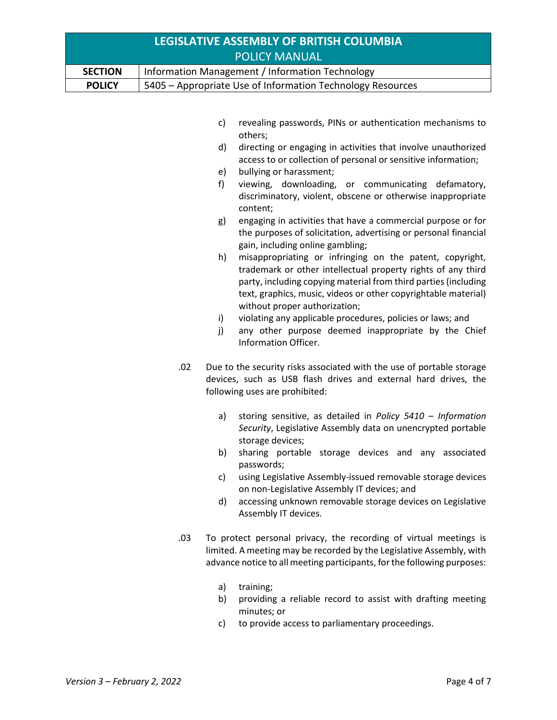| <b>LEGISLATIVE ASSEMBLY OF BRITISH COLUMBIA</b> |                                                                                                                                                                                                                                                                                                                                                                                                                                                                                                                                                                                                                                                                                                                                                                                                                                                                                                                                                                                                                                          |  |  |
|-------------------------------------------------|------------------------------------------------------------------------------------------------------------------------------------------------------------------------------------------------------------------------------------------------------------------------------------------------------------------------------------------------------------------------------------------------------------------------------------------------------------------------------------------------------------------------------------------------------------------------------------------------------------------------------------------------------------------------------------------------------------------------------------------------------------------------------------------------------------------------------------------------------------------------------------------------------------------------------------------------------------------------------------------------------------------------------------------|--|--|
|                                                 | <b>POLICY MANUAL</b>                                                                                                                                                                                                                                                                                                                                                                                                                                                                                                                                                                                                                                                                                                                                                                                                                                                                                                                                                                                                                     |  |  |
| <b>SECTION</b>                                  | Information Management / Information Technology                                                                                                                                                                                                                                                                                                                                                                                                                                                                                                                                                                                                                                                                                                                                                                                                                                                                                                                                                                                          |  |  |
| <b>POLICY</b>                                   | 5405 - Appropriate Use of Information Technology Resources                                                                                                                                                                                                                                                                                                                                                                                                                                                                                                                                                                                                                                                                                                                                                                                                                                                                                                                                                                               |  |  |
|                                                 | revealing passwords, PINs or authentication mechanisms to<br>c)<br>others;<br>directing or engaging in activities that involve unauthorized<br>d)<br>access to or collection of personal or sensitive information;<br>bullying or harassment;<br>e)<br>viewing, downloading, or communicating defamatory,<br>f)<br>discriminatory, violent, obscene or otherwise inappropriate<br>content;<br>engaging in activities that have a commercial purpose or for<br>g)<br>the purposes of solicitation, advertising or personal financial<br>gain, including online gambling;<br>misappropriating or infringing on the patent, copyright,<br>h)<br>trademark or other intellectual property rights of any third<br>party, including copying material from third parties (including<br>text, graphics, music, videos or other copyrightable material)<br>without proper authorization;<br>violating any applicable procedures, policies or laws; and<br>i)<br>j)<br>any other purpose deemed inappropriate by the Chief<br>Information Officer. |  |  |
|                                                 | .02<br>Due to the security risks associated with the use of portable storage<br>devices, such as USB flash drives and external hard drives, the<br>following uses are prohibited:<br>storing sensitive, as detailed in Policy $5410 - Information$<br>a)<br>Security, Legislative Assembly data on unencrypted portable<br>storage devices;                                                                                                                                                                                                                                                                                                                                                                                                                                                                                                                                                                                                                                                                                              |  |  |
|                                                 | sharing portable storage devices and any associated<br>b)<br>passwords;<br>using Legislative Assembly-issued removable storage devices<br>c)<br>on non-Legislative Assembly IT devices; and<br>accessing unknown removable storage devices on Legislative<br>d)<br>Assembly IT devices.<br>.03<br>To protect personal privacy, the recording of virtual meetings is                                                                                                                                                                                                                                                                                                                                                                                                                                                                                                                                                                                                                                                                      |  |  |
|                                                 | limited. A meeting may be recorded by the Legislative Assembly, with<br>advance notice to all meeting participants, for the following purposes:<br>a)<br>training;                                                                                                                                                                                                                                                                                                                                                                                                                                                                                                                                                                                                                                                                                                                                                                                                                                                                       |  |  |

- b) providing a reliable record to assist with drafting meeting minutes; or
- c) to provide access to parliamentary proceedings.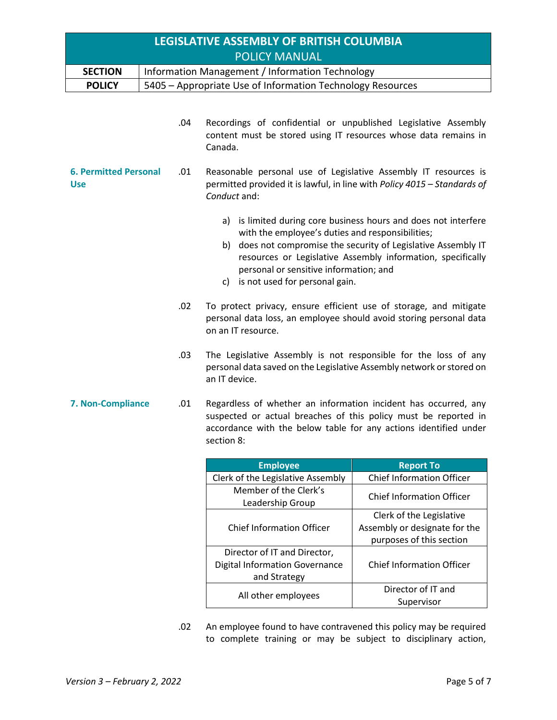| <b>LEGISLATIVE ASSEMBLY OF BRITISH COLUMBIA</b><br><b>POLICY MANUAL</b> |  |     |                                                                                                                                                                                                                      |                                                                                                                                                                                               |  |
|-------------------------------------------------------------------------|--|-----|----------------------------------------------------------------------------------------------------------------------------------------------------------------------------------------------------------------------|-----------------------------------------------------------------------------------------------------------------------------------------------------------------------------------------------|--|
| <b>SECTION</b>                                                          |  |     | Information Management / Information Technology                                                                                                                                                                      |                                                                                                                                                                                               |  |
| <b>POLICY</b>                                                           |  |     | 5405 - Appropriate Use of Information Technology Resources                                                                                                                                                           |                                                                                                                                                                                               |  |
|                                                                         |  | .04 | Recordings of confidential or unpublished Legislative Assembly<br>content must be stored using IT resources whose data remains in<br>Canada.                                                                         |                                                                                                                                                                                               |  |
| <b>6. Permitted Personal</b><br>.01<br><b>Use</b>                       |  |     | Reasonable personal use of Legislative Assembly IT resources is<br>permitted provided it is lawful, in line with Policy 4015 - Standards of<br>Conduct and:                                                          |                                                                                                                                                                                               |  |
|                                                                         |  |     | a)<br>with the employee's duties and responsibilities;<br>personal or sensitive information; and<br>c) is not used for personal gain.                                                                                | is limited during core business hours and does not interfere<br>b) does not compromise the security of Legislative Assembly IT<br>resources or Legislative Assembly information, specifically |  |
| .02                                                                     |  |     | To protect privacy, ensure efficient use of storage, and mitigate<br>personal data loss, an employee should avoid storing personal data<br>on an IT resource.                                                        |                                                                                                                                                                                               |  |
| .03                                                                     |  |     | The Legislative Assembly is not responsible for the loss of any<br>personal data saved on the Legislative Assembly network or stored on<br>an IT device.                                                             |                                                                                                                                                                                               |  |
| 7. Non-Compliance                                                       |  | .01 | Regardless of whether an information incident has occurred, any<br>suspected or actual breaches of this policy must be reported in<br>accordance with the below table for any actions identified under<br>section 8: |                                                                                                                                                                                               |  |
|                                                                         |  |     | <b>Employee</b>                                                                                                                                                                                                      | <b>Report To</b>                                                                                                                                                                              |  |
|                                                                         |  |     | Clerk of the Legislative Assembly                                                                                                                                                                                    | <b>Chief Information Officer</b>                                                                                                                                                              |  |
|                                                                         |  |     | Member of the Clerk's<br>Leadership Group                                                                                                                                                                            | <b>Chief Information Officer</b>                                                                                                                                                              |  |
|                                                                         |  |     | <b>Chief Information Officer</b>                                                                                                                                                                                     | Clerk of the Legislative<br>Assembly or designate for the<br>purposes of this section                                                                                                         |  |
|                                                                         |  |     | Director of IT and Director,<br><b>Digital Information Governance</b><br>and Strategy                                                                                                                                | <b>Chief Information Officer</b>                                                                                                                                                              |  |
|                                                                         |  |     | All other employees                                                                                                                                                                                                  | Director of IT and                                                                                                                                                                            |  |

.02 An employee found to have contravened this policy may be required to complete training or may be subject to disciplinary action,

Supervisor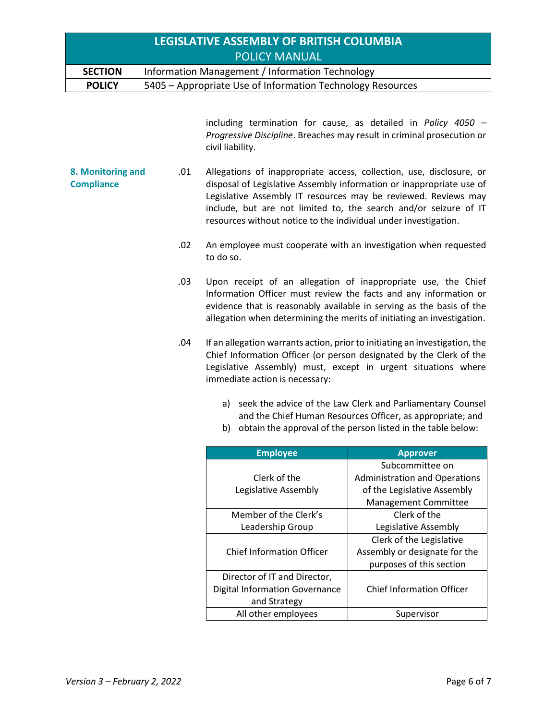| LEGISLATIVE ASSEMBLY OF BRITISH COLUMBIA |                                                            |  |  |
|------------------------------------------|------------------------------------------------------------|--|--|
| <b>POLICY MANUAL</b>                     |                                                            |  |  |
| <b>SECTION</b>                           | Information Management / Information Technology            |  |  |
| <b>POLICY</b>                            | 5405 – Appropriate Use of Information Technology Resources |  |  |

including termination for cause, as detailed in *Policy 4050 – Progressive Discipline*. Breaches may result in criminal prosecution or civil liability.

- **8. Monitoring and Compliance** .01 Allegations of inappropriate access, collection, use, disclosure, or disposal of Legislative Assembly information or inappropriate use of Legislative Assembly IT resources may be reviewed. Reviews may include, but are not limited to, the search and/or seizure of IT resources without notice to the individual under investigation.
	- .02 An employee must cooperate with an investigation when requested to do so.
	- .03 Upon receipt of an allegation of inappropriate use, the Chief Information Officer must review the facts and any information or evidence that is reasonably available in serving as the basis of the allegation when determining the merits of initiating an investigation.
	- .04 If an allegation warrants action, prior to initiating an investigation, the Chief Information Officer (or person designated by the Clerk of the Legislative Assembly) must, except in urgent situations where immediate action is necessary:
		- a) seek the advice of the Law Clerk and Parliamentary Counsel and the Chief Human Resources Officer, as appropriate; and
		- b) obtain the approval of the person listed in the table below:

| <b>Employee</b>                       | <b>Approver</b>                      |
|---------------------------------------|--------------------------------------|
|                                       | Subcommittee on                      |
| Clerk of the                          | <b>Administration and Operations</b> |
| Legislative Assembly                  | of the Legislative Assembly          |
|                                       | <b>Management Committee</b>          |
| Member of the Clerk's                 | Clerk of the                         |
| Leadership Group                      | Legislative Assembly                 |
|                                       | Clerk of the Legislative             |
| <b>Chief Information Officer</b>      | Assembly or designate for the        |
|                                       | purposes of this section             |
| Director of IT and Director,          |                                      |
| <b>Digital Information Governance</b> | <b>Chief Information Officer</b>     |
| and Strategy                          |                                      |
| All other employees                   | Supervisor                           |